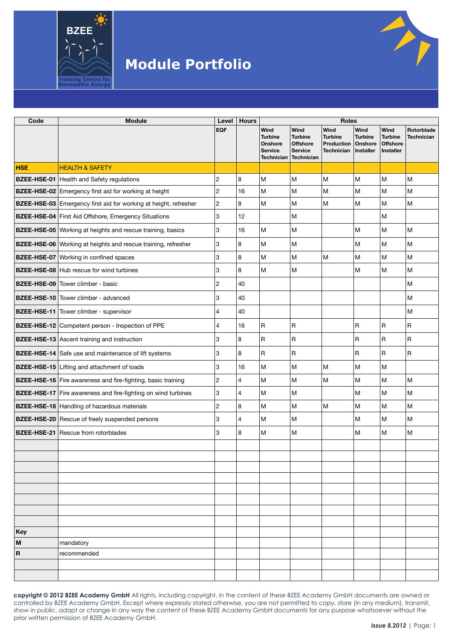

| Code        | <b>Module</b>                                                           | Level                   | <b>Hours</b>   |                                                                          |                                                                                  | <b>Roles</b>                                                             |                                     |                                                        |                                 |
|-------------|-------------------------------------------------------------------------|-------------------------|----------------|--------------------------------------------------------------------------|----------------------------------------------------------------------------------|--------------------------------------------------------------------------|-------------------------------------|--------------------------------------------------------|---------------------------------|
|             |                                                                         | <b>EQF</b>              |                | Wind<br><b>Turbine</b><br>Onshore<br><b>Service</b><br><b>Technician</b> | Wind<br><b>Turbine</b><br><b>Offshore</b><br><b>Service</b><br><b>Technician</b> | Wind<br><b>Turbine</b><br><b>Production Onshore</b><br><b>Technician</b> | Wind<br><b>Turbine</b><br>Installer | Wind<br><b>Turbine</b><br><b>Offshore</b><br>Installer | Rotorblade<br><b>Technician</b> |
| <b>HSE</b>  | <b>HEALTH &amp; SAFETY</b>                                              |                         |                |                                                                          |                                                                                  |                                                                          |                                     |                                                        |                                 |
|             | <b>BZEE-HSE-01</b> Health and Safety regulations                        | $\overline{\mathbf{c}}$ | 8              | M                                                                        | M                                                                                | M                                                                        | M                                   | М                                                      | M                               |
|             | BZEE-HSE-02 Emergency first aid for working at height                   | $\overline{c}$          | 16             | M                                                                        | M                                                                                | M                                                                        | M                                   | M                                                      | M                               |
|             | <b>BZEE-HSE-03</b> Emergency first aid for working at height, refresher | 2                       | 8              | M                                                                        | M                                                                                | M                                                                        | lм                                  | M                                                      | M                               |
|             | BZEE-HSE-04 First Aid Offshore, Emergency Situations                    | 3                       | 12             |                                                                          | M                                                                                |                                                                          |                                     | M                                                      |                                 |
|             | BZEE-HSE-05 Working at heights and rescue training, basics              | 3                       | 16             | M                                                                        | M                                                                                |                                                                          | M                                   | M                                                      | M                               |
|             | BZEE-HSE-06 Working at heights and rescue training, refresher           | 3                       | 8              | M                                                                        | M                                                                                |                                                                          | M                                   | M                                                      | M                               |
|             | <b>BZEE-HSE-07</b> Working in confined spaces                           | 3                       | 8              | M                                                                        | M                                                                                | M                                                                        | lм                                  | M                                                      | M                               |
|             | <b>BZEE-HSE-08</b> Hub rescue for wind turbines                         | 3                       | 8              | M                                                                        | M                                                                                |                                                                          | M                                   | M                                                      | M                               |
|             | <b>BZEE-HSE-09</b> Tower climber - basic                                | 2                       | 40             |                                                                          |                                                                                  |                                                                          |                                     |                                                        | M                               |
|             | <b>BZEE-HSE-10</b> Tower climber - advanced                             | 3                       | 40             |                                                                          |                                                                                  |                                                                          |                                     |                                                        | M                               |
|             | <b>BZEE-HSE-11</b> Tower climber - supervisor                           | 4                       | 40             |                                                                          |                                                                                  |                                                                          |                                     |                                                        | M                               |
|             | BZEE-HSE-12 Competent person - Inspection of PPE                        | 4                       | 16             | $\mathsf R$                                                              | R                                                                                |                                                                          | R                                   | R                                                      | $\mathsf R$                     |
|             | <b>BZEE-HSE-13</b> Ascent training and instruction                      | 3                       | 8              | $\mathsf R$                                                              | R                                                                                |                                                                          | $\overline{\mathsf{R}}$             | R                                                      | $\mathsf R$                     |
|             | BZEE-HSE-14 Safe use and maintenance of lift systems                    | 3                       | 8              | $\mathsf R$                                                              | R                                                                                |                                                                          | $\overline{\mathsf{R}}$             | R                                                      | $\mathsf R$                     |
|             | BZEE-HSE-15 Lifting and attachment of loads                             | 3                       | 16             | M                                                                        | M                                                                                | M                                                                        | M                                   | M                                                      |                                 |
|             | BZEE-HSE-16 Fire awareness and fire-fighting, basic training            | $\overline{c}$          | $\overline{4}$ | M                                                                        | M                                                                                | M                                                                        | M                                   | M                                                      | M                               |
|             | <b>BZEE-HSE-17</b> Fire awareness and fire-fighting on wind turbines    | 3                       | 4              | M                                                                        | M                                                                                |                                                                          | M                                   | M                                                      | M                               |
|             | <b>BZEE-HSE-18</b> Handling of hazardous materials                      | $\overline{c}$          | 8              | M                                                                        | M                                                                                | M                                                                        | M                                   | M                                                      | M                               |
|             | <b>BZEE-HSE-20</b> Rescue of freely suspended persons                   | 3                       | $\overline{4}$ | M                                                                        | M                                                                                |                                                                          | M                                   | M                                                      | М                               |
|             | <b>BZEE-HSE-21</b> Rescue from rotorblades                              | 3                       | 8              | M                                                                        | M                                                                                |                                                                          | M                                   | M                                                      | M                               |
|             |                                                                         |                         |                |                                                                          |                                                                                  |                                                                          |                                     |                                                        |                                 |
|             |                                                                         |                         |                |                                                                          |                                                                                  |                                                                          |                                     |                                                        |                                 |
|             |                                                                         |                         |                |                                                                          |                                                                                  |                                                                          |                                     |                                                        |                                 |
|             |                                                                         |                         |                |                                                                          |                                                                                  |                                                                          |                                     |                                                        |                                 |
|             |                                                                         |                         |                |                                                                          |                                                                                  |                                                                          |                                     |                                                        |                                 |
|             |                                                                         |                         |                |                                                                          |                                                                                  |                                                                          |                                     |                                                        |                                 |
|             |                                                                         |                         |                |                                                                          |                                                                                  |                                                                          |                                     |                                                        |                                 |
| Key         |                                                                         |                         |                |                                                                          |                                                                                  |                                                                          |                                     |                                                        |                                 |
| M           | mandatory                                                               |                         |                |                                                                          |                                                                                  |                                                                          |                                     |                                                        |                                 |
| $\mathbf R$ | recommended                                                             |                         |                |                                                                          |                                                                                  |                                                                          |                                     |                                                        |                                 |
|             |                                                                         |                         |                |                                                                          |                                                                                  |                                                                          |                                     |                                                        |                                 |

**copyright © 2012 BZEE Academy GmbH** All rights, including copyright, in the content of these BZEE Academy GmbH documents are owned or controlled by BZEE Academy GmbH. Except where expressly stated otherwise, you are not permitted to copy, store (in any medium), transmit, show in public, adapt or change in any way the content of these BZEE Academy GmbH documents for any purpose whatsoever without the prior written permission of BZEE Academy GmbH.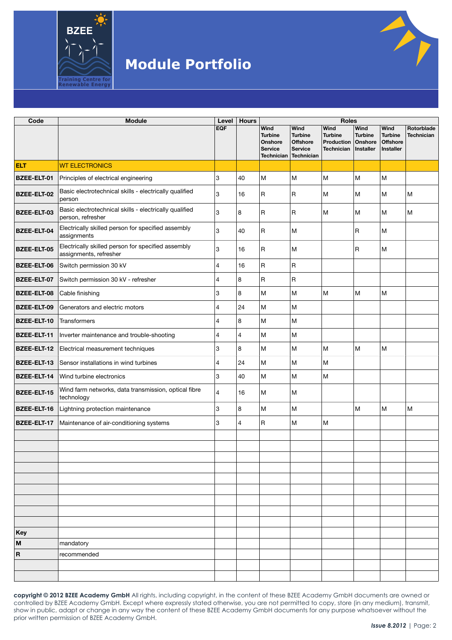

| Code                    | <b>Module</b>                                                                | Level          | <b>Hours</b> |                                                                          |                                                                           | <b>Roles</b>                                              |                                                |                                                               |                                 |  |
|-------------------------|------------------------------------------------------------------------------|----------------|--------------|--------------------------------------------------------------------------|---------------------------------------------------------------------------|-----------------------------------------------------------|------------------------------------------------|---------------------------------------------------------------|---------------------------------|--|
|                         |                                                                              | <b>EQF</b>     |              | Wind<br><b>Turbine</b><br>Onshore<br><b>Service</b><br><b>Technician</b> | Wind<br><b>Turbine</b><br><b>Offshore</b><br><b>Service</b><br>Technician | Wind<br><b>Turbine</b><br>Production<br><b>Technician</b> | Wind<br><b>Turbine</b><br>Onshore<br>Installer | Wind<br><b>Turbine</b><br><b>Offshore</b><br><b>Installer</b> | Rotorblade<br><b>Technician</b> |  |
| <b>ELT</b>              | <b>WT ELECTRONICS</b>                                                        |                |              |                                                                          |                                                                           |                                                           |                                                |                                                               |                                 |  |
| <b>BZEE-ELT-01</b>      | Principles of electrical engineering                                         | 3              | 40           | M                                                                        | M                                                                         | M                                                         | M                                              | M                                                             |                                 |  |
| <b>BZEE-ELT-02</b>      | Basic electrotechnical skills - electrically qualified<br>person             | 3              | 16           | R                                                                        | R                                                                         | М                                                         | M                                              | M                                                             | M                               |  |
| <b>BZEE-ELT-03</b>      | Basic electrotechnical skills - electrically qualified<br>person, refresher  | 3              | 8            | R                                                                        | R                                                                         | М                                                         | M                                              | M                                                             | M                               |  |
| <b>BZEE-ELT-04</b>      | Electrically skilled person for specified assembly<br>assignments            | 3              | 40           | R                                                                        | M                                                                         |                                                           | $\overline{\mathsf{R}}$                        | M                                                             |                                 |  |
| <b>BZEE-ELT-05</b>      | Electrically skilled person for specified assembly<br>assignments, refresher | 3              | 16           | R                                                                        | lм                                                                        |                                                           | $\overline{\mathsf{R}}$                        | M                                                             |                                 |  |
| <b>BZEE-ELT-06</b>      | Switch permission 30 kV                                                      | 4              | 16           | $\mathsf R$                                                              | $\mathsf R$                                                               |                                                           |                                                |                                                               |                                 |  |
| <b>BZEE-ELT-07</b>      | Switch permission 30 kV - refresher                                          | $\overline{4}$ | 8            | $\mathsf R$                                                              | $\sf R$                                                                   |                                                           |                                                |                                                               |                                 |  |
| <b>BZEE-ELT-08</b>      | Cable finishing                                                              | 3              | 8            | M                                                                        | M                                                                         | M                                                         | M                                              | M                                                             |                                 |  |
| <b>BZEE-ELT-09</b>      | Generators and electric motors                                               | $\overline{4}$ | 24           | м                                                                        | M                                                                         |                                                           |                                                |                                                               |                                 |  |
| <b>BZEE-ELT-10</b>      | Transformers                                                                 | $\overline{4}$ | 8            | M                                                                        | lм                                                                        |                                                           |                                                |                                                               |                                 |  |
| <b>BZEE-ELT-11</b>      | Inverter maintenance and trouble-shooting                                    | $\overline{4}$ | 4            | M                                                                        | M                                                                         |                                                           |                                                |                                                               |                                 |  |
| BZEE-ELT-12             | Electrical measurement techniques                                            | 3              | 8            | M                                                                        | M                                                                         | M                                                         | M                                              | M                                                             |                                 |  |
| <b>BZEE-ELT-13</b>      | Sensor installations in wind turbines                                        | $\overline{4}$ | 24           | M                                                                        | M                                                                         | M                                                         |                                                |                                                               |                                 |  |
| <b>BZEE-ELT-14</b>      | Wind turbine electronics                                                     | 3              | 40           | M                                                                        | M                                                                         | M                                                         |                                                |                                                               |                                 |  |
| <b>BZEE-ELT-15</b>      | Wind farm networks, data transmission, optical fibre<br>technology           | $\overline{4}$ | 16           | M                                                                        | M                                                                         |                                                           |                                                |                                                               |                                 |  |
| BZEE-ELT-16             | Lightning protection maintenance                                             | 3              | 8            | M                                                                        | M                                                                         |                                                           | M                                              | M                                                             | M                               |  |
| BZEE-ELT-17             | Maintenance of air-conditioning systems                                      | 3              | 4            | R                                                                        | M                                                                         | M                                                         |                                                |                                                               |                                 |  |
|                         |                                                                              |                |              |                                                                          |                                                                           |                                                           |                                                |                                                               |                                 |  |
|                         |                                                                              |                |              |                                                                          |                                                                           |                                                           |                                                |                                                               |                                 |  |
|                         |                                                                              |                |              |                                                                          |                                                                           |                                                           |                                                |                                                               |                                 |  |
|                         |                                                                              |                |              |                                                                          |                                                                           |                                                           |                                                |                                                               |                                 |  |
|                         |                                                                              |                |              |                                                                          |                                                                           |                                                           |                                                |                                                               |                                 |  |
|                         |                                                                              |                |              |                                                                          |                                                                           |                                                           |                                                |                                                               |                                 |  |
|                         |                                                                              |                |              |                                                                          |                                                                           |                                                           |                                                |                                                               |                                 |  |
|                         |                                                                              |                |              |                                                                          |                                                                           |                                                           |                                                |                                                               |                                 |  |
| Key                     |                                                                              |                |              |                                                                          |                                                                           |                                                           |                                                |                                                               |                                 |  |
| M                       | mandatory                                                                    |                |              |                                                                          |                                                                           |                                                           |                                                |                                                               |                                 |  |
| $\overline{\mathbf{R}}$ | recommended                                                                  |                |              |                                                                          |                                                                           |                                                           |                                                |                                                               |                                 |  |
|                         |                                                                              |                |              |                                                                          |                                                                           |                                                           |                                                |                                                               |                                 |  |
|                         |                                                                              |                |              |                                                                          |                                                                           |                                                           |                                                |                                                               |                                 |  |

**copyright © 2012 BZEE Academy GmbH** All rights, including copyright, in the content of these BZEE Academy GmbH documents are owned or controlled by BZEE Academy GmbH. Except where expressly stated otherwise, you are not permitted to copy, store (in any medium), transmit, show in public, adapt or change in any way the content of these BZEE Academy GmbH documents for any purpose whatsoever without the prior written permission of BZEE Academy GmbH.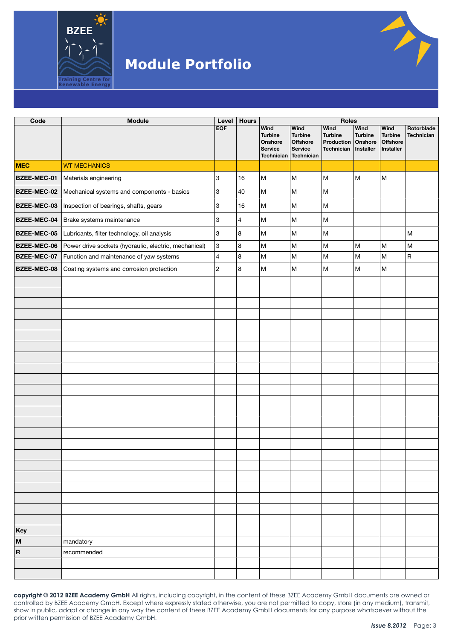

| Code                      | <b>Module</b>                                         | Level          | <b>Hours</b>   |                                                                          |                                                                                       | Roles                                                        |                                     |                                                        |                                 |
|---------------------------|-------------------------------------------------------|----------------|----------------|--------------------------------------------------------------------------|---------------------------------------------------------------------------------------|--------------------------------------------------------------|-------------------------------------|--------------------------------------------------------|---------------------------------|
|                           |                                                       | <b>EQF</b>     |                | Wind<br><b>Turbine</b><br>Onshore<br><b>Service</b><br><b>Technician</b> | Wind<br><b>Turbine</b><br><b>Offshore</b><br><b>Service</b><br>Technician             | Wind<br><b>Turbine</b><br>Production   Onshore<br>Technician | Wind<br><b>Turbine</b><br>Installer | <b>Wind</b><br><b>Turbine</b><br>Offshore<br>Installer | Rotorblade<br><b>Technician</b> |
| <b>MEC</b>                | <b>WT MECHANICS</b>                                   |                |                |                                                                          |                                                                                       |                                                              |                                     |                                                        |                                 |
| BZEE-MEC-01               | Materials engineering                                 | 3              | 16             | M                                                                        | M                                                                                     | M                                                            | M                                   | M                                                      |                                 |
| BZEE-MEC-02               | Mechanical systems and components - basics            | 3              | 40             | M                                                                        | $\mathsf{M}% _{T}=\mathsf{M}_{T}\!\left( a,b\right) ,\ \mathsf{M}_{T}=\mathsf{M}_{T}$ | M                                                            |                                     |                                                        |                                 |
| BZEE-MEC-03               | Inspection of bearings, shafts, gears                 | 3              | 16             | M                                                                        | M                                                                                     | M                                                            |                                     |                                                        |                                 |
| <b>BZEE-MEC-04</b>        | Brake systems maintenance                             | 3              | $\overline{4}$ | ${\sf M}$                                                                | $\mathsf{M}% _{T}=\mathsf{M}_{T}\!\left( a,b\right) ,\ \mathsf{M}_{T}=\mathsf{M}_{T}$ | ${\sf M}$                                                    |                                     |                                                        |                                 |
| BZEE-MEC-05               | Lubricants, filter technology, oil analysis           | 3              | 8              | M                                                                        | M                                                                                     | M                                                            |                                     |                                                        | M                               |
| BZEE-MEC-06               | Power drive sockets (hydraulic, electric, mechanical) | 3              | 8              | M                                                                        | $\mathsf{M}% _{T}=\mathsf{M}_{T}\!\left( a,b\right) ,\ \mathsf{M}_{T}=\mathsf{M}_{T}$ | M                                                            | M                                   | M                                                      | M                               |
| BZEE-MEC-07               | Function and maintenance of yaw systems               | $\overline{4}$ | 8              | M                                                                        | M                                                                                     | M                                                            | M                                   | ${\sf M}$                                              | $\sf R$                         |
| BZEE-MEC-08               | Coating systems and corrosion protection              | $\overline{c}$ | 8              | M                                                                        | M                                                                                     | M                                                            | M                                   | M                                                      |                                 |
|                           |                                                       |                |                |                                                                          |                                                                                       |                                                              |                                     |                                                        |                                 |
|                           |                                                       |                |                |                                                                          |                                                                                       |                                                              |                                     |                                                        |                                 |
|                           |                                                       |                |                |                                                                          |                                                                                       |                                                              |                                     |                                                        |                                 |
|                           |                                                       |                |                |                                                                          |                                                                                       |                                                              |                                     |                                                        |                                 |
|                           |                                                       |                |                |                                                                          |                                                                                       |                                                              |                                     |                                                        |                                 |
|                           |                                                       |                |                |                                                                          |                                                                                       |                                                              |                                     |                                                        |                                 |
|                           |                                                       |                |                |                                                                          |                                                                                       |                                                              |                                     |                                                        |                                 |
|                           |                                                       |                |                |                                                                          |                                                                                       |                                                              |                                     |                                                        |                                 |
|                           |                                                       |                |                |                                                                          |                                                                                       |                                                              |                                     |                                                        |                                 |
|                           |                                                       |                |                |                                                                          |                                                                                       |                                                              |                                     |                                                        |                                 |
|                           |                                                       |                |                |                                                                          |                                                                                       |                                                              |                                     |                                                        |                                 |
|                           |                                                       |                |                |                                                                          |                                                                                       |                                                              |                                     |                                                        |                                 |
|                           |                                                       |                |                |                                                                          |                                                                                       |                                                              |                                     |                                                        |                                 |
|                           |                                                       |                |                |                                                                          |                                                                                       |                                                              |                                     |                                                        |                                 |
|                           |                                                       |                |                |                                                                          |                                                                                       |                                                              |                                     |                                                        |                                 |
|                           |                                                       |                |                |                                                                          |                                                                                       |                                                              |                                     |                                                        |                                 |
|                           |                                                       |                |                |                                                                          |                                                                                       |                                                              |                                     |                                                        |                                 |
|                           |                                                       |                |                |                                                                          |                                                                                       |                                                              |                                     |                                                        |                                 |
|                           |                                                       |                |                |                                                                          |                                                                                       |                                                              |                                     |                                                        |                                 |
|                           |                                                       |                |                |                                                                          |                                                                                       |                                                              |                                     |                                                        |                                 |
|                           |                                                       |                |                |                                                                          |                                                                                       |                                                              |                                     |                                                        |                                 |
|                           |                                                       |                |                |                                                                          |                                                                                       |                                                              |                                     |                                                        |                                 |
| Key                       |                                                       |                |                |                                                                          |                                                                                       |                                                              |                                     |                                                        |                                 |
| $\boldsymbol{\mathsf{M}}$ | mandatory                                             |                |                |                                                                          |                                                                                       |                                                              |                                     |                                                        |                                 |
| $\boldsymbol{\mathsf{R}}$ | recommended                                           |                |                |                                                                          |                                                                                       |                                                              |                                     |                                                        |                                 |
|                           |                                                       |                |                |                                                                          |                                                                                       |                                                              |                                     |                                                        |                                 |
|                           |                                                       |                |                |                                                                          |                                                                                       |                                                              |                                     |                                                        |                                 |

**copyright © 2012 BZEE Academy GmbH** All rights, including copyright, in the content of these BZEE Academy GmbH documents are owned or controlled by BZEE Academy GmbH. Except where expressly stated otherwise, you are not permitted to copy, store (in any medium), transmit, show in public, adapt or change in any way the content of these BZEE Academy GmbH documents for any purpose whatsoever without the prior written permission of BZEE Academy GmbH.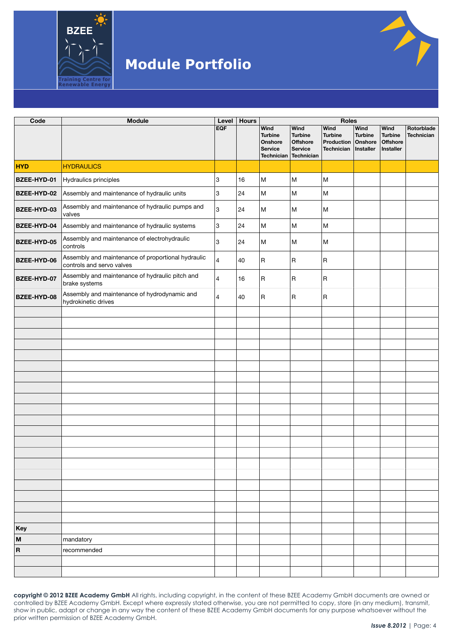

| Code                      | <b>Module</b>                                                                   | Level          | <b>Hours</b> |                                                                                 |                                                                                         | <b>Roles</b>                                       |                                                |                                                        |                          |
|---------------------------|---------------------------------------------------------------------------------|----------------|--------------|---------------------------------------------------------------------------------|-----------------------------------------------------------------------------------------|----------------------------------------------------|------------------------------------------------|--------------------------------------------------------|--------------------------|
|                           |                                                                                 | <b>EQF</b>     |              | <b>Wind</b><br><b>Turbine</b><br>Onshore<br><b>Service</b><br><b>Technician</b> | <b>Wind</b><br><b>Turbine</b><br><b>Offshore</b><br><b>Service</b><br><b>Technician</b> | Wind<br><b>Turbine</b><br>Production<br>Technician | Wind<br><b>Turbine</b><br>Onshore<br>Installer | Wind<br><b>Turbine</b><br><b>Offshore</b><br>Installer | Rotorblade<br>Technician |
| <b>HYD</b>                | <b>HYDRAULICS</b>                                                               |                |              |                                                                                 |                                                                                         |                                                    |                                                |                                                        |                          |
| BZEE-HYD-01               | Hydraulics principles                                                           | 3              | 16           | M                                                                               | M                                                                                       | M                                                  |                                                |                                                        |                          |
| BZEE-HYD-02               | Assembly and maintenance of hydraulic units                                     | 3              | 24           | M                                                                               | M                                                                                       | M                                                  |                                                |                                                        |                          |
| BZEE-HYD-03               | Assembly and maintenance of hydraulic pumps and<br>valves                       | 3              | 24           | M                                                                               | M                                                                                       | M                                                  |                                                |                                                        |                          |
| BZEE-HYD-04               | Assembly and maintenance of hydraulic systems                                   | 3              | 24           | M                                                                               | M                                                                                       | M                                                  |                                                |                                                        |                          |
| BZEE-HYD-05               | Assembly and maintenance of electrohydraulic<br>controls                        | 3              | 24           | M                                                                               | M                                                                                       | M                                                  |                                                |                                                        |                          |
| BZEE-HYD-06               | Assembly and maintenance of proportional hydraulic<br>controls and servo valves | 4              | 40           | $\overline{\mathsf{R}}$                                                         | $\overline{\mathsf{R}}$                                                                 | R                                                  |                                                |                                                        |                          |
| BZEE-HYD-07               | Assembly and maintenance of hydraulic pitch and<br>brake systems                | $\overline{4}$ | 16           | $\overline{\mathsf{R}}$                                                         | $\overline{\mathsf{R}}$                                                                 | R                                                  |                                                |                                                        |                          |
| BZEE-HYD-08               | Assembly and maintenance of hydrodynamic and<br>hydrokinetic drives             | $\overline{4}$ | 40           | $\overline{\mathsf{R}}$                                                         | $\overline{\mathsf{R}}$                                                                 | R                                                  |                                                |                                                        |                          |
|                           |                                                                                 |                |              |                                                                                 |                                                                                         |                                                    |                                                |                                                        |                          |
|                           |                                                                                 |                |              |                                                                                 |                                                                                         |                                                    |                                                |                                                        |                          |
|                           |                                                                                 |                |              |                                                                                 |                                                                                         |                                                    |                                                |                                                        |                          |
|                           |                                                                                 |                |              |                                                                                 |                                                                                         |                                                    |                                                |                                                        |                          |
|                           |                                                                                 |                |              |                                                                                 |                                                                                         |                                                    |                                                |                                                        |                          |
|                           |                                                                                 |                |              |                                                                                 |                                                                                         |                                                    |                                                |                                                        |                          |
|                           |                                                                                 |                |              |                                                                                 |                                                                                         |                                                    |                                                |                                                        |                          |
|                           |                                                                                 |                |              |                                                                                 |                                                                                         |                                                    |                                                |                                                        |                          |
|                           |                                                                                 |                |              |                                                                                 |                                                                                         |                                                    |                                                |                                                        |                          |
|                           |                                                                                 |                |              |                                                                                 |                                                                                         |                                                    |                                                |                                                        |                          |
|                           |                                                                                 |                |              |                                                                                 |                                                                                         |                                                    |                                                |                                                        |                          |
|                           |                                                                                 |                |              |                                                                                 |                                                                                         |                                                    |                                                |                                                        |                          |
|                           |                                                                                 |                |              |                                                                                 |                                                                                         |                                                    |                                                |                                                        |                          |
|                           |                                                                                 |                |              |                                                                                 |                                                                                         |                                                    |                                                |                                                        |                          |
|                           |                                                                                 |                |              |                                                                                 |                                                                                         |                                                    |                                                |                                                        |                          |
|                           |                                                                                 |                |              |                                                                                 |                                                                                         |                                                    |                                                |                                                        |                          |
|                           |                                                                                 |                |              |                                                                                 |                                                                                         |                                                    |                                                |                                                        |                          |
|                           |                                                                                 |                |              |                                                                                 |                                                                                         |                                                    |                                                |                                                        |                          |
| Key                       |                                                                                 |                |              |                                                                                 |                                                                                         |                                                    |                                                |                                                        |                          |
| $\boldsymbol{\mathsf{M}}$ | mandatory                                                                       |                |              |                                                                                 |                                                                                         |                                                    |                                                |                                                        |                          |
| $\boldsymbol{\mathsf{R}}$ | recommended                                                                     |                |              |                                                                                 |                                                                                         |                                                    |                                                |                                                        |                          |
|                           |                                                                                 |                |              |                                                                                 |                                                                                         |                                                    |                                                |                                                        |                          |
|                           |                                                                                 |                |              |                                                                                 |                                                                                         |                                                    |                                                |                                                        |                          |

**copyright © 2012 BZEE Academy GmbH** All rights, including copyright, in the content of these BZEE Academy GmbH documents are owned or controlled by BZEE Academy GmbH. Except where expressly stated otherwise, you are not permitted to copy, store (in any medium), transmit, show in public, adapt or change in any way the content of these BZEE Academy GmbH documents for any purpose whatsoever without the prior written permission of BZEE Academy GmbH.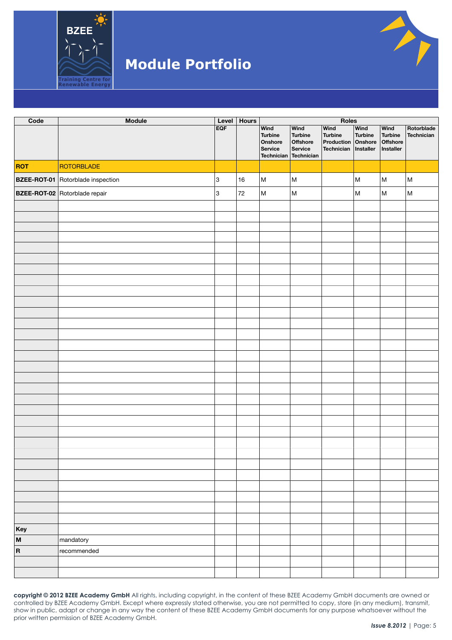

| Code       | <b>Module</b>                            | Level | <b>Hours</b> |                                              |                                                                        | Roles                                                                  |                                                                                       |                                          |                          |  |
|------------|------------------------------------------|-------|--------------|----------------------------------------------|------------------------------------------------------------------------|------------------------------------------------------------------------|---------------------------------------------------------------------------------------|------------------------------------------|--------------------------|--|
|            |                                          | EQF   |              | Wind<br><b>Turbine</b><br>Onshore<br>Service | Wind<br><b>Turbine</b><br>Offshore<br>Service<br>Technician Technician | Wind<br><b>Turbine</b><br>Production Onshore<br>Technician   Installer | Wind<br><b>Turbine</b>                                                                | Wind<br>Turbine<br>Offshore<br>Installer | Rotorblade<br>Technician |  |
| <b>ROT</b> | ROTORBLADE                               |       |              |                                              |                                                                        |                                                                        |                                                                                       |                                          |                          |  |
|            | <b>BZEE-ROT-01</b> Rotorblade inspection | 3     | 16           | M                                            | M                                                                      |                                                                        | $\mathsf{M}% _{T}=\mathsf{M}_{T}\!\left( a,b\right) ,\ \mathsf{M}_{T}=\mathsf{M}_{T}$ | M                                        | $\sf M$                  |  |
|            | BZEE-ROT-02 Rotorblade repair            | 3     | $72\,$       | M                                            | $\sf M$                                                                |                                                                        | $\mathsf{M}% _{T}=\mathsf{M}_{T}\!\left( a,b\right) ,\ \mathsf{M}_{T}=\mathsf{M}_{T}$ | M                                        | $\sf M$                  |  |
|            |                                          |       |              |                                              |                                                                        |                                                                        |                                                                                       |                                          |                          |  |
|            |                                          |       |              |                                              |                                                                        |                                                                        |                                                                                       |                                          |                          |  |
|            |                                          |       |              |                                              |                                                                        |                                                                        |                                                                                       |                                          |                          |  |
|            |                                          |       |              |                                              |                                                                        |                                                                        |                                                                                       |                                          |                          |  |
|            |                                          |       |              |                                              |                                                                        |                                                                        |                                                                                       |                                          |                          |  |
|            |                                          |       |              |                                              |                                                                        |                                                                        |                                                                                       |                                          |                          |  |
|            |                                          |       |              |                                              |                                                                        |                                                                        |                                                                                       |                                          |                          |  |
|            |                                          |       |              |                                              |                                                                        |                                                                        |                                                                                       |                                          |                          |  |
|            |                                          |       |              |                                              |                                                                        |                                                                        |                                                                                       |                                          |                          |  |
|            |                                          |       |              |                                              |                                                                        |                                                                        |                                                                                       |                                          |                          |  |
|            |                                          |       |              |                                              |                                                                        |                                                                        |                                                                                       |                                          |                          |  |
|            |                                          |       |              |                                              |                                                                        |                                                                        |                                                                                       |                                          |                          |  |
|            |                                          |       |              |                                              |                                                                        |                                                                        |                                                                                       |                                          |                          |  |
|            |                                          |       |              |                                              |                                                                        |                                                                        |                                                                                       |                                          |                          |  |
|            |                                          |       |              |                                              |                                                                        |                                                                        |                                                                                       |                                          |                          |  |
|            |                                          |       |              |                                              |                                                                        |                                                                        |                                                                                       |                                          |                          |  |
|            |                                          |       |              |                                              |                                                                        |                                                                        |                                                                                       |                                          |                          |  |
|            |                                          |       |              |                                              |                                                                        |                                                                        |                                                                                       |                                          |                          |  |
|            |                                          |       |              |                                              |                                                                        |                                                                        |                                                                                       |                                          |                          |  |
|            |                                          |       |              |                                              |                                                                        |                                                                        |                                                                                       |                                          |                          |  |
|            |                                          |       |              |                                              |                                                                        |                                                                        |                                                                                       |                                          |                          |  |
|            |                                          |       |              |                                              |                                                                        |                                                                        |                                                                                       |                                          |                          |  |
|            |                                          |       |              |                                              |                                                                        |                                                                        |                                                                                       |                                          |                          |  |
|            |                                          |       |              |                                              |                                                                        |                                                                        |                                                                                       |                                          |                          |  |
|            |                                          |       |              |                                              |                                                                        |                                                                        |                                                                                       |                                          |                          |  |
|            |                                          |       |              |                                              |                                                                        |                                                                        |                                                                                       |                                          |                          |  |
|            |                                          |       |              |                                              |                                                                        |                                                                        |                                                                                       |                                          |                          |  |
|            |                                          |       |              |                                              |                                                                        |                                                                        |                                                                                       |                                          |                          |  |
|            |                                          |       |              |                                              |                                                                        |                                                                        |                                                                                       |                                          |                          |  |
| Key        |                                          |       |              |                                              |                                                                        |                                                                        |                                                                                       |                                          |                          |  |
| M          | mandatory                                |       |              |                                              |                                                                        |                                                                        |                                                                                       |                                          |                          |  |
| $\vert$ R  | recommended                              |       |              |                                              |                                                                        |                                                                        |                                                                                       |                                          |                          |  |
|            |                                          |       |              |                                              |                                                                        |                                                                        |                                                                                       |                                          |                          |  |
|            |                                          |       |              |                                              |                                                                        |                                                                        |                                                                                       |                                          |                          |  |

**copyright © 2012 BZEE Academy GmbH** All rights, including copyright, in the content of these BZEE Academy GmbH documents are owned or controlled by BZEE Academy GmbH. Except where expressly stated otherwise, you are not permitted to copy, store (in any medium), transmit, show in public, adapt or change in any way the content of these BZEE Academy GmbH documents for any purpose whatsoever without the prior written permission of BZEE Academy GmbH.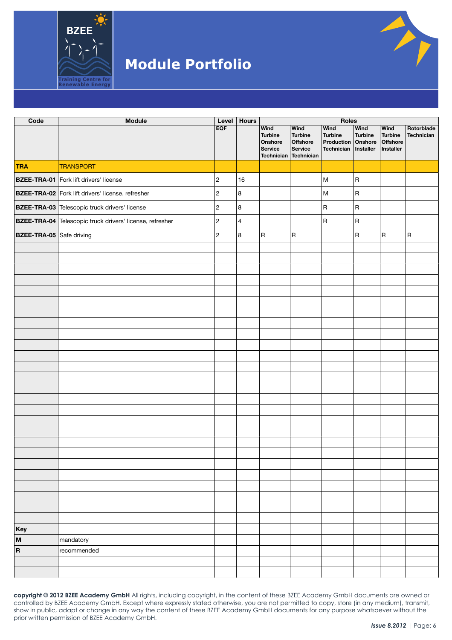

| Code                     | <b>Module</b>                                            | Level                   | <b>Hours</b> |                                                                       | Roles                                                       |                                                                               |                         |                                                 |                          |  |
|--------------------------|----------------------------------------------------------|-------------------------|--------------|-----------------------------------------------------------------------|-------------------------------------------------------------|-------------------------------------------------------------------------------|-------------------------|-------------------------------------------------|--------------------------|--|
|                          |                                                          | <b>EQF</b>              |              | Wind<br><b>Turbine</b><br>Onshore<br>Service<br>Technician Technician | Wind<br><b>Turbine</b><br><b>Offshore</b><br><b>Service</b> | <b>Wind</b><br><b>Turbine</b><br>Production Onshore<br>Technician   Installer | Wind<br><b>Turbine</b>  | Wind<br><b>Turbine</b><br>Offshore<br>Installer | Rotorblade<br>Technician |  |
| <b>TRA</b>               | <b>TRANSPORT</b>                                         |                         |              |                                                                       |                                                             |                                                                               |                         |                                                 |                          |  |
|                          | <b>BZEE-TRA-01</b> Fork lift drivers' license            | $\overline{\mathbf{c}}$ | 16           |                                                                       |                                                             | M                                                                             | $\vert$ R               |                                                 |                          |  |
|                          | <b>BZEE-TRA-02</b> Fork lift drivers' license, refresher | $\overline{\mathbf{c}}$ | 8            |                                                                       |                                                             | M                                                                             | $\overline{\mathsf{R}}$ |                                                 |                          |  |
|                          | <b>BZEE-TRA-03</b> Telescopic truck drivers' license     | $\overline{c}$          | 8            |                                                                       |                                                             | R                                                                             | $\overline{\mathsf{R}}$ |                                                 |                          |  |
|                          | BZEE-TRA-04 Telescopic truck drivers' license, refresher | $\overline{c}$          | 4            |                                                                       |                                                             | R                                                                             | $\overline{\mathsf{R}}$ |                                                 |                          |  |
| BZEE-TRA-05 Safe driving |                                                          | $\overline{c}$          | 8            | R                                                                     | $\overline{\mathsf{R}}$                                     |                                                                               | $\overline{\mathsf{R}}$ | $\overline{\mathsf{R}}$                         | $\overline{\mathsf{R}}$  |  |
|                          |                                                          |                         |              |                                                                       |                                                             |                                                                               |                         |                                                 |                          |  |
|                          |                                                          |                         |              |                                                                       |                                                             |                                                                               |                         |                                                 |                          |  |
|                          |                                                          |                         |              |                                                                       |                                                             |                                                                               |                         |                                                 |                          |  |
|                          |                                                          |                         |              |                                                                       |                                                             |                                                                               |                         |                                                 |                          |  |
|                          |                                                          |                         |              |                                                                       |                                                             |                                                                               |                         |                                                 |                          |  |
|                          |                                                          |                         |              |                                                                       |                                                             |                                                                               |                         |                                                 |                          |  |
|                          |                                                          |                         |              |                                                                       |                                                             |                                                                               |                         |                                                 |                          |  |
|                          |                                                          |                         |              |                                                                       |                                                             |                                                                               |                         |                                                 |                          |  |
|                          |                                                          |                         |              |                                                                       |                                                             |                                                                               |                         |                                                 |                          |  |
|                          |                                                          |                         |              |                                                                       |                                                             |                                                                               |                         |                                                 |                          |  |
|                          |                                                          |                         |              |                                                                       |                                                             |                                                                               |                         |                                                 |                          |  |
|                          |                                                          |                         |              |                                                                       |                                                             |                                                                               |                         |                                                 |                          |  |
|                          |                                                          |                         |              |                                                                       |                                                             |                                                                               |                         |                                                 |                          |  |
|                          |                                                          |                         |              |                                                                       |                                                             |                                                                               |                         |                                                 |                          |  |
|                          |                                                          |                         |              |                                                                       |                                                             |                                                                               |                         |                                                 |                          |  |
|                          |                                                          |                         |              |                                                                       |                                                             |                                                                               |                         |                                                 |                          |  |
|                          |                                                          |                         |              |                                                                       |                                                             |                                                                               |                         |                                                 |                          |  |
|                          |                                                          |                         |              |                                                                       |                                                             |                                                                               |                         |                                                 |                          |  |
|                          |                                                          |                         |              |                                                                       |                                                             |                                                                               |                         |                                                 |                          |  |
|                          |                                                          |                         |              |                                                                       |                                                             |                                                                               |                         |                                                 |                          |  |
|                          |                                                          |                         |              |                                                                       |                                                             |                                                                               |                         |                                                 |                          |  |
|                          |                                                          |                         |              |                                                                       |                                                             |                                                                               |                         |                                                 |                          |  |
|                          |                                                          |                         |              |                                                                       |                                                             |                                                                               |                         |                                                 |                          |  |
|                          |                                                          |                         |              |                                                                       |                                                             |                                                                               |                         |                                                 |                          |  |
|                          |                                                          |                         |              |                                                                       |                                                             |                                                                               |                         |                                                 |                          |  |
| Key                      |                                                          |                         |              |                                                                       |                                                             |                                                                               |                         |                                                 |                          |  |
| M                        | mandatory                                                |                         |              |                                                                       |                                                             |                                                                               |                         |                                                 |                          |  |
| $\vert$ R                | recommended                                              |                         |              |                                                                       |                                                             |                                                                               |                         |                                                 |                          |  |
|                          |                                                          |                         |              |                                                                       |                                                             |                                                                               |                         |                                                 |                          |  |
|                          |                                                          |                         |              |                                                                       |                                                             |                                                                               |                         |                                                 |                          |  |
|                          |                                                          |                         |              |                                                                       |                                                             |                                                                               |                         |                                                 |                          |  |

**copyright © 2012 BZEE Academy GmbH** All rights, including copyright, in the content of these BZEE Academy GmbH documents are owned or controlled by BZEE Academy GmbH. Except where expressly stated otherwise, you are not permitted to copy, store (in any medium), transmit, show in public, adapt or change in any way the content of these BZEE Academy GmbH documents for any purpose whatsoever without the prior written permission of BZEE Academy GmbH.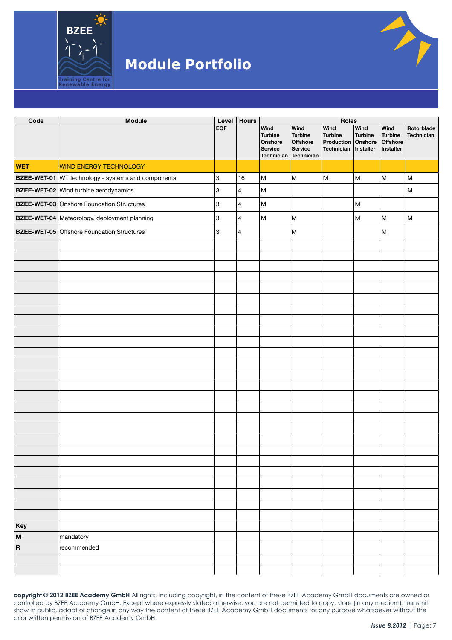

| Code                      | <b>Module</b>                                             | Level      | <b>Hours</b>            |                                                                          |                                                                           | Roles                                                                                 |                        |                                                 |                                                                                       |
|---------------------------|-----------------------------------------------------------|------------|-------------------------|--------------------------------------------------------------------------|---------------------------------------------------------------------------|---------------------------------------------------------------------------------------|------------------------|-------------------------------------------------|---------------------------------------------------------------------------------------|
|                           |                                                           | <b>EQF</b> |                         | <b>Wind</b><br><b>Turbine</b><br>Onshore<br>Service<br><b>Technician</b> | Wind<br><b>Turbine</b><br><b>Offshore</b><br><b>Service</b><br>Technician | Wind<br><b>Turbine</b><br>Production Onshore<br>Technician   Installer                | Wind<br><b>Turbine</b> | Wind<br><b>Turbine</b><br>Offshore<br>Installer | Rotorblade<br>Technician                                                              |
| <b>WET</b>                | <b>WIND ENERGY TECHNOLOGY</b>                             |            |                         |                                                                          |                                                                           |                                                                                       |                        |                                                 |                                                                                       |
|                           | <b>BZEE-WET-01</b> WT technology - systems and components | 3          | 16                      | ${\sf M}$                                                                | M                                                                         | $\mathsf{M}% _{T}=\mathsf{M}_{T}\!\left( a,b\right) ,\ \mathsf{M}_{T}=\mathsf{M}_{T}$ | M                      | M                                               | $\mathsf{M}% _{T}=\mathsf{M}_{T}\!\left( a,b\right) ,\ \mathsf{M}_{T}=\mathsf{M}_{T}$ |
|                           | <b>BZEE-WET-02</b> Wind turbine aerodynamics              | 3          | $\overline{4}$          | ${\sf M}$                                                                |                                                                           |                                                                                       |                        |                                                 | $\sf M$                                                                               |
|                           | <b>BZEE-WET-03</b> Onshore Foundation Structures          | 3          | $\overline{4}$          | ${\sf M}$                                                                |                                                                           |                                                                                       | M                      |                                                 |                                                                                       |
|                           | BZEE-WET-04 Meteorology, deployment planning              | 3          | $\overline{4}$          | ${\sf M}$                                                                | ${\sf M}$                                                                 |                                                                                       | M                      | M                                               | $\mathsf{M}% _{T}=\mathsf{M}_{T}\!\left( a,b\right) ,\ \mathsf{M}_{T}=\mathsf{M}_{T}$ |
|                           | <b>BZEE-WET-05</b> Offshore Foundation Structures         | 3          | $\overline{\mathbf{4}}$ |                                                                          | M                                                                         |                                                                                       |                        | M                                               |                                                                                       |
|                           |                                                           |            |                         |                                                                          |                                                                           |                                                                                       |                        |                                                 |                                                                                       |
|                           |                                                           |            |                         |                                                                          |                                                                           |                                                                                       |                        |                                                 |                                                                                       |
|                           |                                                           |            |                         |                                                                          |                                                                           |                                                                                       |                        |                                                 |                                                                                       |
|                           |                                                           |            |                         |                                                                          |                                                                           |                                                                                       |                        |                                                 |                                                                                       |
|                           |                                                           |            |                         |                                                                          |                                                                           |                                                                                       |                        |                                                 |                                                                                       |
|                           |                                                           |            |                         |                                                                          |                                                                           |                                                                                       |                        |                                                 |                                                                                       |
|                           |                                                           |            |                         |                                                                          |                                                                           |                                                                                       |                        |                                                 |                                                                                       |
|                           |                                                           |            |                         |                                                                          |                                                                           |                                                                                       |                        |                                                 |                                                                                       |
|                           |                                                           |            |                         |                                                                          |                                                                           |                                                                                       |                        |                                                 |                                                                                       |
|                           |                                                           |            |                         |                                                                          |                                                                           |                                                                                       |                        |                                                 |                                                                                       |
|                           |                                                           |            |                         |                                                                          |                                                                           |                                                                                       |                        |                                                 |                                                                                       |
|                           |                                                           |            |                         |                                                                          |                                                                           |                                                                                       |                        |                                                 |                                                                                       |
|                           |                                                           |            |                         |                                                                          |                                                                           |                                                                                       |                        |                                                 |                                                                                       |
|                           |                                                           |            |                         |                                                                          |                                                                           |                                                                                       |                        |                                                 |                                                                                       |
|                           |                                                           |            |                         |                                                                          |                                                                           |                                                                                       |                        |                                                 |                                                                                       |
|                           |                                                           |            |                         |                                                                          |                                                                           |                                                                                       |                        |                                                 |                                                                                       |
|                           |                                                           |            |                         |                                                                          |                                                                           |                                                                                       |                        |                                                 |                                                                                       |
|                           |                                                           |            |                         |                                                                          |                                                                           |                                                                                       |                        |                                                 |                                                                                       |
|                           |                                                           |            |                         |                                                                          |                                                                           |                                                                                       |                        |                                                 |                                                                                       |
|                           |                                                           |            |                         |                                                                          |                                                                           |                                                                                       |                        |                                                 |                                                                                       |
|                           |                                                           |            |                         |                                                                          |                                                                           |                                                                                       |                        |                                                 |                                                                                       |
|                           |                                                           |            |                         |                                                                          |                                                                           |                                                                                       |                        |                                                 |                                                                                       |
|                           |                                                           |            |                         |                                                                          |                                                                           |                                                                                       |                        |                                                 |                                                                                       |
|                           |                                                           |            |                         |                                                                          |                                                                           |                                                                                       |                        |                                                 |                                                                                       |
| Key                       |                                                           |            |                         |                                                                          |                                                                           |                                                                                       |                        |                                                 |                                                                                       |
| $\boldsymbol{\mathsf{M}}$ | mandatory                                                 |            |                         |                                                                          |                                                                           |                                                                                       |                        |                                                 |                                                                                       |
| $\boldsymbol{\mathsf{R}}$ | recommended                                               |            |                         |                                                                          |                                                                           |                                                                                       |                        |                                                 |                                                                                       |
|                           |                                                           |            |                         |                                                                          |                                                                           |                                                                                       |                        |                                                 |                                                                                       |
|                           |                                                           |            |                         |                                                                          |                                                                           |                                                                                       |                        |                                                 |                                                                                       |
|                           |                                                           |            |                         |                                                                          |                                                                           |                                                                                       |                        |                                                 |                                                                                       |

**copyright © 2012 BZEE Academy GmbH** All rights, including copyright, in the content of these BZEE Academy GmbH documents are owned or controlled by BZEE Academy GmbH. Except where expressly stated otherwise, you are not permitted to copy, store (in any medium), transmit, show in public, adapt or change in any way the content of these BZEE Academy GmbH documents for any purpose whatsoever without the prior written permission of BZEE Academy GmbH.

**Ay**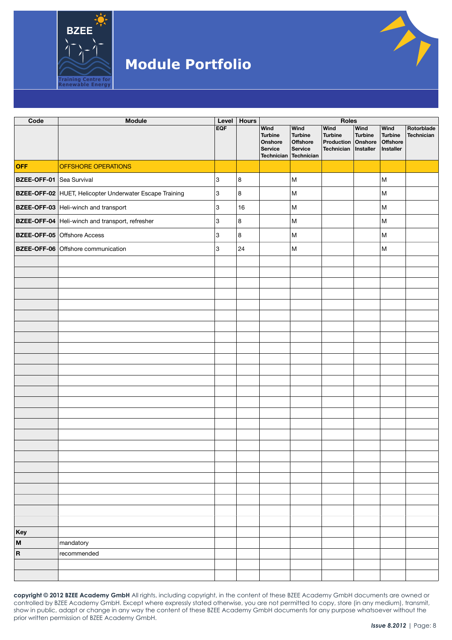

| Code                            | Module                                                  | Level      | <b>Hours</b> |                                                                          |                                                                           | Roles                                                                         |                        |                                                 |                                 |  |  |
|---------------------------------|---------------------------------------------------------|------------|--------------|--------------------------------------------------------------------------|---------------------------------------------------------------------------|-------------------------------------------------------------------------------|------------------------|-------------------------------------------------|---------------------------------|--|--|
|                                 |                                                         | <b>EQF</b> |              | <b>Wind</b><br><b>Turbine</b><br>Onshore<br>Service<br><b>Technician</b> | Wind<br><b>Turbine</b><br><b>Offshore</b><br><b>Service</b><br>Technician | <b>Wind</b><br><b>Turbine</b><br>Production Onshore<br>Technician   Installer | Wind<br><b>Turbine</b> | Wind<br><b>Turbine</b><br>Offshore<br>Installer | Rotorblade<br><b>Technician</b> |  |  |
| <b>OFF</b>                      | OFFSHORE OPERATIONS                                     |            |              |                                                                          |                                                                           |                                                                               |                        |                                                 |                                 |  |  |
| <b>BZEE-OFF-01</b> Sea Survival |                                                         | 3          | 8            |                                                                          | M                                                                         |                                                                               |                        | M                                               |                                 |  |  |
|                                 | BZEE-OFF-02 HUET, Helicopter Underwater Escape Training | 3          | 8            |                                                                          | M                                                                         |                                                                               |                        | M                                               |                                 |  |  |
|                                 | <b>BZEE-OFF-03</b> Heli-winch and transport             | 3          | 16           |                                                                          | M                                                                         |                                                                               |                        | M                                               |                                 |  |  |
|                                 | <b>BZEE-OFF-04</b> Heli-winch and transport, refresher  | 3          | 8            |                                                                          | M                                                                         |                                                                               |                        | M                                               |                                 |  |  |
|                                 | <b>BZEE-OFF-05 Offshore Access</b>                      | 3          | 8            |                                                                          | M                                                                         |                                                                               |                        | M                                               |                                 |  |  |
|                                 | BZEE-OFF-06 Offshore communication                      | 3          | 24           |                                                                          | M                                                                         |                                                                               |                        | M                                               |                                 |  |  |
|                                 |                                                         |            |              |                                                                          |                                                                           |                                                                               |                        |                                                 |                                 |  |  |
|                                 |                                                         |            |              |                                                                          |                                                                           |                                                                               |                        |                                                 |                                 |  |  |
|                                 |                                                         |            |              |                                                                          |                                                                           |                                                                               |                        |                                                 |                                 |  |  |
|                                 |                                                         |            |              |                                                                          |                                                                           |                                                                               |                        |                                                 |                                 |  |  |
|                                 |                                                         |            |              |                                                                          |                                                                           |                                                                               |                        |                                                 |                                 |  |  |
|                                 |                                                         |            |              |                                                                          |                                                                           |                                                                               |                        |                                                 |                                 |  |  |
|                                 |                                                         |            |              |                                                                          |                                                                           |                                                                               |                        |                                                 |                                 |  |  |
|                                 |                                                         |            |              |                                                                          |                                                                           |                                                                               |                        |                                                 |                                 |  |  |
|                                 |                                                         |            |              |                                                                          |                                                                           |                                                                               |                        |                                                 |                                 |  |  |
|                                 |                                                         |            |              |                                                                          |                                                                           |                                                                               |                        |                                                 |                                 |  |  |
|                                 |                                                         |            |              |                                                                          |                                                                           |                                                                               |                        |                                                 |                                 |  |  |
|                                 |                                                         |            |              |                                                                          |                                                                           |                                                                               |                        |                                                 |                                 |  |  |
|                                 |                                                         |            |              |                                                                          |                                                                           |                                                                               |                        |                                                 |                                 |  |  |
|                                 |                                                         |            |              |                                                                          |                                                                           |                                                                               |                        |                                                 |                                 |  |  |
|                                 |                                                         |            |              |                                                                          |                                                                           |                                                                               |                        |                                                 |                                 |  |  |
|                                 |                                                         |            |              |                                                                          |                                                                           |                                                                               |                        |                                                 |                                 |  |  |
|                                 |                                                         |            |              |                                                                          |                                                                           |                                                                               |                        |                                                 |                                 |  |  |
|                                 |                                                         |            |              |                                                                          |                                                                           |                                                                               |                        |                                                 |                                 |  |  |
|                                 |                                                         |            |              |                                                                          |                                                                           |                                                                               |                        |                                                 |                                 |  |  |
|                                 |                                                         |            |              |                                                                          |                                                                           |                                                                               |                        |                                                 |                                 |  |  |
|                                 |                                                         |            |              |                                                                          |                                                                           |                                                                               |                        |                                                 |                                 |  |  |
|                                 |                                                         |            |              |                                                                          |                                                                           |                                                                               |                        |                                                 |                                 |  |  |
|                                 |                                                         |            |              |                                                                          |                                                                           |                                                                               |                        |                                                 |                                 |  |  |
|                                 |                                                         |            |              |                                                                          |                                                                           |                                                                               |                        |                                                 |                                 |  |  |
|                                 |                                                         |            |              |                                                                          |                                                                           |                                                                               |                        |                                                 |                                 |  |  |
| Key                             |                                                         |            |              |                                                                          |                                                                           |                                                                               |                        |                                                 |                                 |  |  |
| $\boldsymbol{\mathsf{M}}$       | mandatory                                               |            |              |                                                                          |                                                                           |                                                                               |                        |                                                 |                                 |  |  |
| $\boldsymbol{\mathsf{R}}$       | recommended                                             |            |              |                                                                          |                                                                           |                                                                               |                        |                                                 |                                 |  |  |
|                                 |                                                         |            |              |                                                                          |                                                                           |                                                                               |                        |                                                 |                                 |  |  |
|                                 |                                                         |            |              |                                                                          |                                                                           |                                                                               |                        |                                                 |                                 |  |  |

**copyright © 2012 BZEE Academy GmbH** All rights, including copyright, in the content of these BZEE Academy GmbH documents are owned or controlled by BZEE Academy GmbH. Except where expressly stated otherwise, you are not permitted to copy, store (in any medium), transmit, show in public, adapt or change in any way the content of these BZEE Academy GmbH documents for any purpose whatsoever without the prior written permission of BZEE Academy GmbH.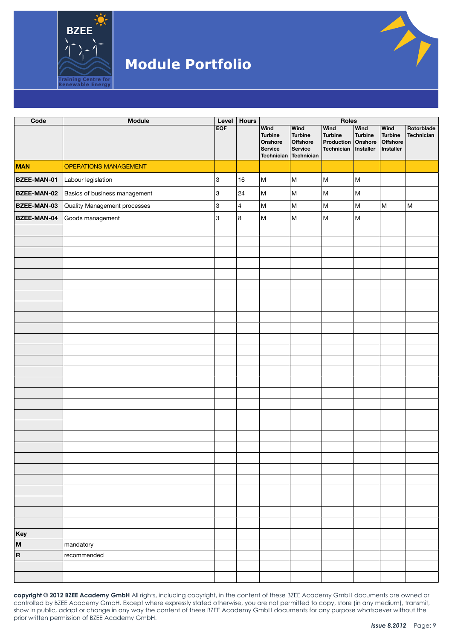

| Code               | Module                        | Level | <b>Hours</b>            |                                                                          |                                                                    | Roles                                                                  |                        |                                                                                                            |                                                                                                            |  |
|--------------------|-------------------------------|-------|-------------------------|--------------------------------------------------------------------------|--------------------------------------------------------------------|------------------------------------------------------------------------|------------------------|------------------------------------------------------------------------------------------------------------|------------------------------------------------------------------------------------------------------------|--|
|                    |                               | EQF   |                         | <b>Wind</b><br><b>Turbine</b><br>Onshore<br>Service<br><b>Technician</b> | Wind<br><b>Turbine</b><br>Offshore<br><b>Service</b><br>Technician | Wind<br><b>Turbine</b><br>Production Onshore<br>Technician   Installer | Wind<br><b>Turbine</b> | <b>Wind</b><br><b>Turbine</b><br>Offshore<br>Installer                                                     | Rotorblade<br>Technician                                                                                   |  |
| <b>MAN</b>         | <b>OPERATIONS MANAGEMENT</b>  |       |                         |                                                                          |                                                                    |                                                                        |                        |                                                                                                            |                                                                                                            |  |
| BZEE-MAN-01        | Labour legislation            | 3     | 16                      | M                                                                        | M                                                                  | M                                                                      | $\sf M$                |                                                                                                            |                                                                                                            |  |
| <b>BZEE-MAN-02</b> | Basics of business management | 3     | 24                      | M                                                                        | M                                                                  | $\sf M$                                                                | $\sf M$                |                                                                                                            |                                                                                                            |  |
| BZEE-MAN-03        | Quality Management processes  | 3     | $\vert$ 4               | M                                                                        | M                                                                  | M                                                                      | M                      | $\mathsf{M}% _{T}=\mathsf{M}_{T}\!\left( a,b\right) ,\ \mathsf{M}_{T}=\mathsf{M}_{T}\!\left( a,b\right) ,$ | $\mathsf{M}% _{T}=\mathsf{M}_{T}\!\left( a,b\right) ,\ \mathsf{M}_{T}=\mathsf{M}_{T}\!\left( a,b\right) ,$ |  |
| <b>BZEE-MAN-04</b> | Goods management              | 3     | $\overline{\mathbf{8}}$ | ${\sf M}$                                                                | M                                                                  | M                                                                      | M                      |                                                                                                            |                                                                                                            |  |
|                    |                               |       |                         |                                                                          |                                                                    |                                                                        |                        |                                                                                                            |                                                                                                            |  |
|                    |                               |       |                         |                                                                          |                                                                    |                                                                        |                        |                                                                                                            |                                                                                                            |  |
|                    |                               |       |                         |                                                                          |                                                                    |                                                                        |                        |                                                                                                            |                                                                                                            |  |
|                    |                               |       |                         |                                                                          |                                                                    |                                                                        |                        |                                                                                                            |                                                                                                            |  |
|                    |                               |       |                         |                                                                          |                                                                    |                                                                        |                        |                                                                                                            |                                                                                                            |  |
|                    |                               |       |                         |                                                                          |                                                                    |                                                                        |                        |                                                                                                            |                                                                                                            |  |
|                    |                               |       |                         |                                                                          |                                                                    |                                                                        |                        |                                                                                                            |                                                                                                            |  |
|                    |                               |       |                         |                                                                          |                                                                    |                                                                        |                        |                                                                                                            |                                                                                                            |  |
|                    |                               |       |                         |                                                                          |                                                                    |                                                                        |                        |                                                                                                            |                                                                                                            |  |
|                    |                               |       |                         |                                                                          |                                                                    |                                                                        |                        |                                                                                                            |                                                                                                            |  |
|                    |                               |       |                         |                                                                          |                                                                    |                                                                        |                        |                                                                                                            |                                                                                                            |  |
|                    |                               |       |                         |                                                                          |                                                                    |                                                                        |                        |                                                                                                            |                                                                                                            |  |
|                    |                               |       |                         |                                                                          |                                                                    |                                                                        |                        |                                                                                                            |                                                                                                            |  |
|                    |                               |       |                         |                                                                          |                                                                    |                                                                        |                        |                                                                                                            |                                                                                                            |  |
|                    |                               |       |                         |                                                                          |                                                                    |                                                                        |                        |                                                                                                            |                                                                                                            |  |
|                    |                               |       |                         |                                                                          |                                                                    |                                                                        |                        |                                                                                                            |                                                                                                            |  |
|                    |                               |       |                         |                                                                          |                                                                    |                                                                        |                        |                                                                                                            |                                                                                                            |  |
|                    |                               |       |                         |                                                                          |                                                                    |                                                                        |                        |                                                                                                            |                                                                                                            |  |
|                    |                               |       |                         |                                                                          |                                                                    |                                                                        |                        |                                                                                                            |                                                                                                            |  |
|                    |                               |       |                         |                                                                          |                                                                    |                                                                        |                        |                                                                                                            |                                                                                                            |  |
|                    |                               |       |                         |                                                                          |                                                                    |                                                                        |                        |                                                                                                            |                                                                                                            |  |
|                    |                               |       |                         |                                                                          |                                                                    |                                                                        |                        |                                                                                                            |                                                                                                            |  |
|                    |                               |       |                         |                                                                          |                                                                    |                                                                        |                        |                                                                                                            |                                                                                                            |  |
|                    |                               |       |                         |                                                                          |                                                                    |                                                                        |                        |                                                                                                            |                                                                                                            |  |
|                    |                               |       |                         |                                                                          |                                                                    |                                                                        |                        |                                                                                                            |                                                                                                            |  |
|                    |                               |       |                         |                                                                          |                                                                    |                                                                        |                        |                                                                                                            |                                                                                                            |  |
|                    |                               |       |                         |                                                                          |                                                                    |                                                                        |                        |                                                                                                            |                                                                                                            |  |
| Key                |                               |       |                         |                                                                          |                                                                    |                                                                        |                        |                                                                                                            |                                                                                                            |  |
| M                  | mandatory                     |       |                         |                                                                          |                                                                    |                                                                        |                        |                                                                                                            |                                                                                                            |  |
| $\vert$ R          | recommended                   |       |                         |                                                                          |                                                                    |                                                                        |                        |                                                                                                            |                                                                                                            |  |
|                    |                               |       |                         |                                                                          |                                                                    |                                                                        |                        |                                                                                                            |                                                                                                            |  |
|                    |                               |       |                         |                                                                          |                                                                    |                                                                        |                        |                                                                                                            |                                                                                                            |  |

**copyright © 2012 BZEE Academy GmbH** All rights, including copyright, in the content of these BZEE Academy GmbH documents are owned or controlled by BZEE Academy GmbH. Except where expressly stated otherwise, you are not permitted to copy, store (in any medium), transmit, show in public, adapt or change in any way the content of these BZEE Academy GmbH documents for any purpose whatsoever without the prior written permission of BZEE Academy GmbH.